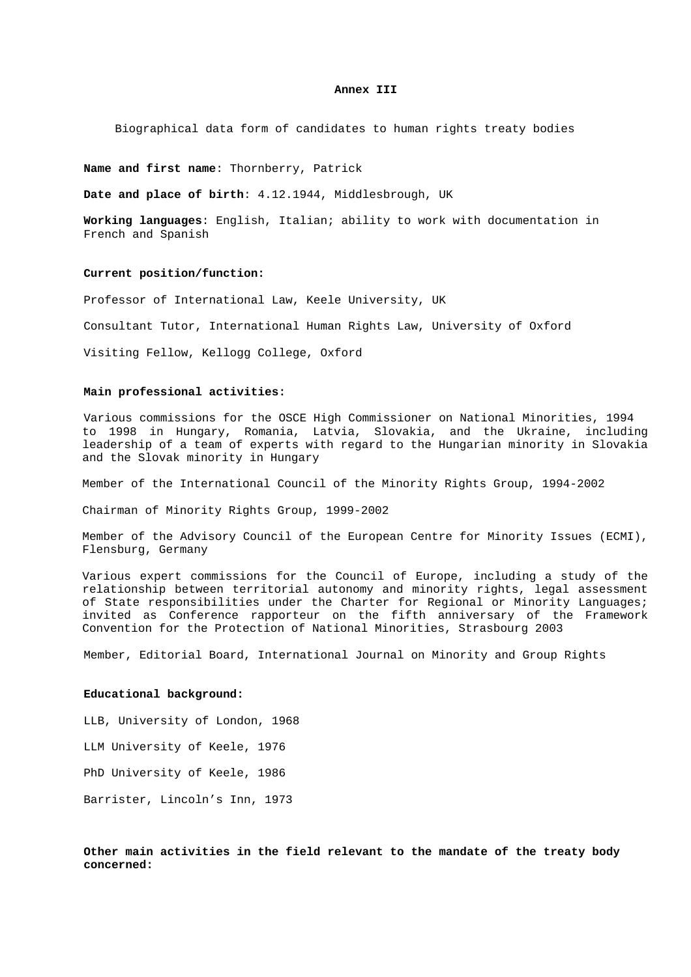#### **Annex III**

Biographical data form of candidates to human rights treaty bodies

**Name and first name**: Thornberry, Patrick

**Date and place of birth**: 4.12.1944, Middlesbrough, UK

**Working languages**: English, Italian; ability to work with documentation in French and Spanish

# **Current position/function:**

Professor of International Law, Keele University, UK

Consultant Tutor, International Human Rights Law, University of Oxford

Visiting Fellow, Kellogg College, Oxford

### **Main professional activities:**

Various commissions for the OSCE High Commissioner on National Minorities, 1994 to 1998 in Hungary, Romania, Latvia, Slovakia, and the Ukraine, including leadership of a team of experts with regard to the Hungarian minority in Slovakia and the Slovak minority in Hungary

Member of the International Council of the Minority Rights Group, 1994-2002

Chairman of Minority Rights Group, 1999-2002

Member of the Advisory Council of the European Centre for Minority Issues (ECMI), Flensburg, Germany

Various expert commissions for the Council of Europe, including a study of the relationship between territorial autonomy and minority rights, legal assessment of State responsibilities under the Charter for Regional or Minority Languages; invited as Conference rapporteur on the fifth anniversary of the Framework Convention for the Protection of National Minorities, Strasbourg 2003

Member, Editorial Board, International Journal on Minority and Group Rights

# **Educational background:**

LLB, University of London, 1968 LLM University of Keele, 1976 PhD University of Keele, 1986 Barrister, Lincoln's Inn, 1973

**Other main activities in the field relevant to the mandate of the treaty body concerned:**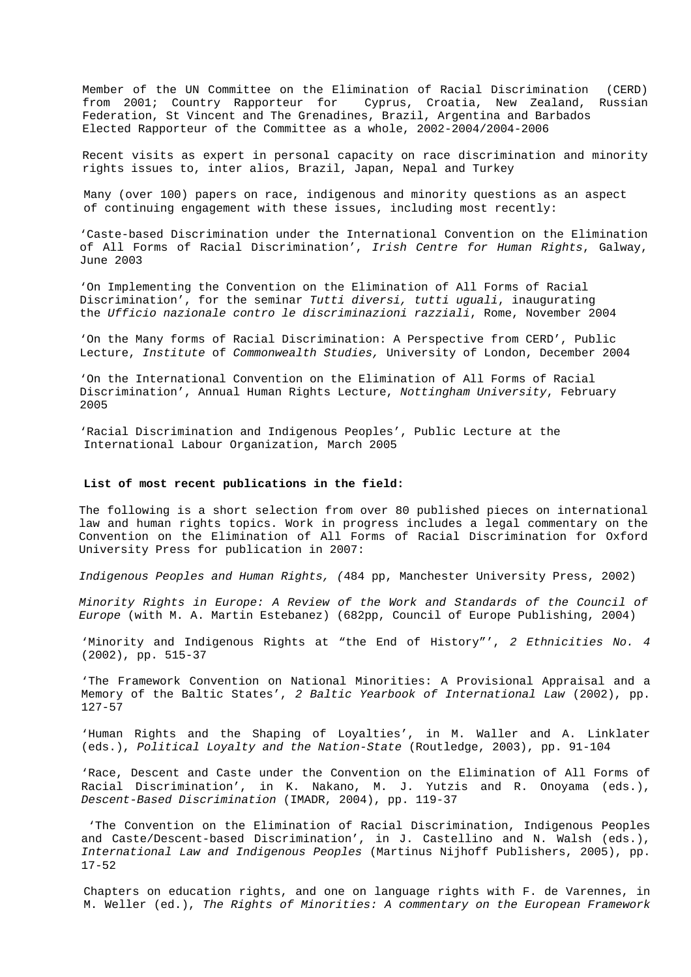Member of the UN Committee on the Elimination of Racial Discrimination (CERD) from 2001; Country Rapporteur for Cyprus, Croatia, New Zealand, Russian Federation, St Vincent and The Grenadines, Brazil, Argentina and Barbados Elected Rapporteur of the Committee as a whole, 2002-2004/2004-2006

Recent visits as expert in personal capacity on race discrimination and minority rights issues to, inter alios, Brazil, Japan, Nepal and Turkey

Many (over 100) papers on race, indigenous and minority questions as an aspect of continuing engagement with these issues, including most recently:

'Caste-based Discrimination under the International Convention on the Elimination of All Forms of Racial Discrimination', *Irish Centre for Human Rights*, Galway, June 2003

'On Implementing the Convention on the Elimination of All Forms of Racial Discrimination', for the seminar *Tutti diversi, tutti uguali*, inaugurating the *Ufficio nazionale contro le discriminazioni razziali*, Rome, November 2004

'On the Many forms of Racial Discrimination: A Perspective from CERD', Public Lecture, *Institute* of *Commonwealth Studies,* University of London, December 2004

'On the International Convention on the Elimination of All Forms of Racial Discrimination', Annual Human Rights Lecture, *Nottingham University*, February 2005

'Racial Discrimination and Indigenous Peoples', Public Lecture at the International Labour Organization, March 2005

### **List of most recent publications in the field:**

The following is a short selection from over 80 published pieces on international law and human rights topics. Work in progress includes a legal commentary on the Convention on the Elimination of All Forms of Racial Discrimination for Oxford University Press for publication in 2007:

*Indigenous Peoples and Human Rights, (*484 pp, Manchester University Press, 2002)

*Minority Rights in Europe: A Review of the Work and Standards of the Council of Europe* (with M. A. Martin Estebanez) (682pp, Council of Europe Publishing, 2004)

'Minority and Indigenous Rights at "the End of History"', *2 Ethnicities No. 4* (2002), pp. 515-37

'The Framework Convention on National Minorities: A Provisional Appraisal and a Memory of the Baltic States', *2 Baltic Yearbook of International Law* (2002), pp. 127-57

'Human Rights and the Shaping of Loyalties', in M. Waller and A. Linklater (eds.), *Political Loyalty and the Nation-State* (Routledge, 2003), pp. 91-104

'Race, Descent and Caste under the Convention on the Elimination of All Forms of Racial Discrimination', in K. Nakano, M. J. Yutzis and R. Onoyama (eds.), *Descent-Based Discrimination* (IMADR, 2004), pp. 119-37

 'The Convention on the Elimination of Racial Discrimination, Indigenous Peoples and Caste/Descent-based Discrimination', in J. Castellino and N. Walsh (eds.), *International Law and Indigenous Peoples* (Martinus Nijhoff Publishers, 2005), pp. 17-52

Chapters on education rights, and one on language rights with F. de Varennes, in M. Weller (ed.), *The Rights of Minorities: A commentary on the European Framework*